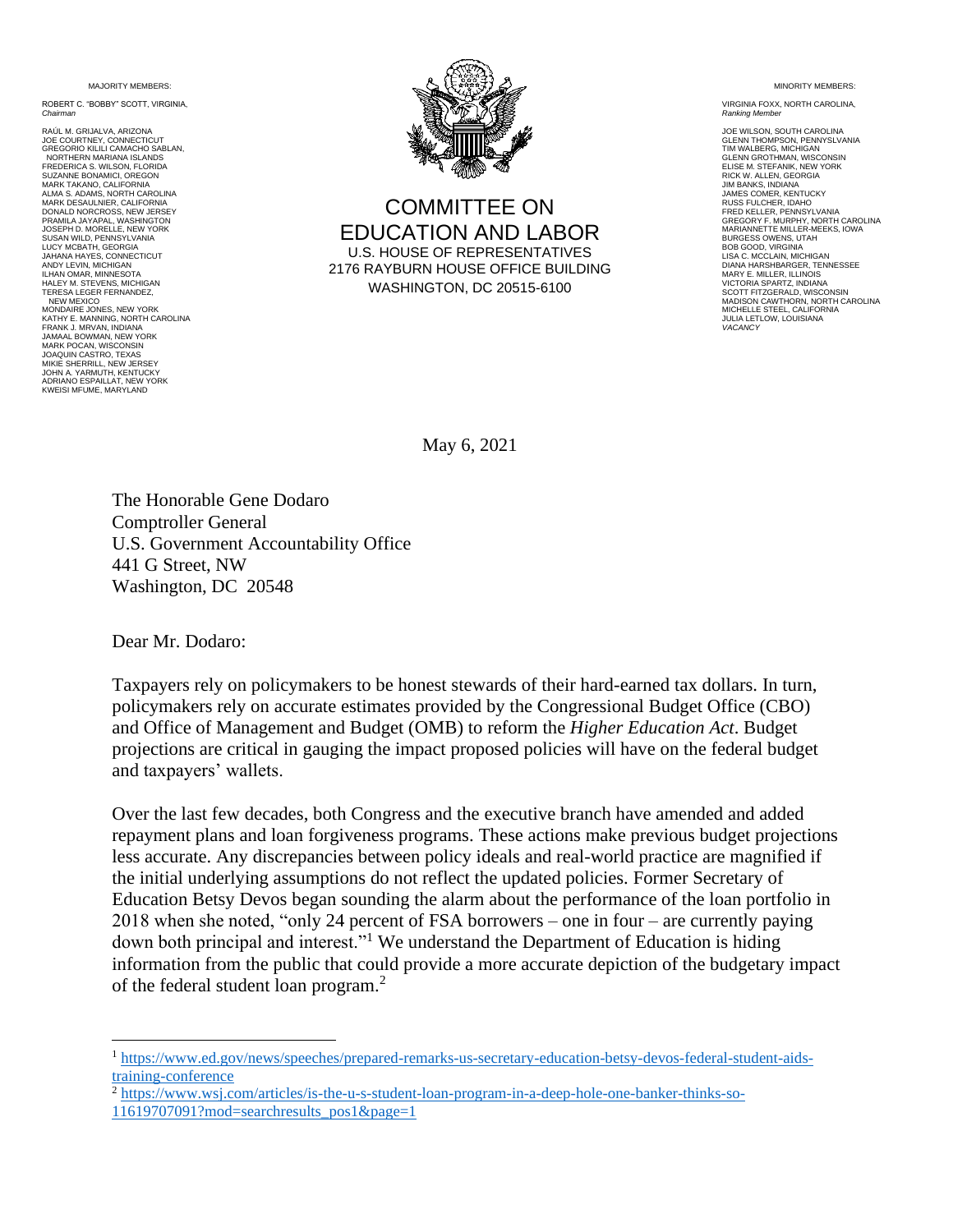MA **JORITY MEMBERS:** 

ROBERT C. "BOBBY" SCOTT, VIRGINIA, *Chairman*

RAÚL M. GRIJALVA, ARIZONA JOE COURTNEY, CONNECTICUT GREGORIO KILILI CAMACHO SABLAN, NORTHERN MARIANA ISLANDS FREDERICA S. WILSON, FLORIDA<br>SLIZANNE BONAMICL OREGON SUZANNE BONAMICI, OREGON MARK TAKANO, CALIFORNIA ALMA S. ADAMS, NORTH CAROLINA MARK DESAULNIER, CALIFORNIA DONALD NORCROSS, NEW JERSEY PRAMILA JAYAPAL, WASHINGTON JOSEPH D. MORELLE, NEW YORK SUSAN WILD, PENNSYLVANIA LUCY MCBATH, GEORGIA JAHANA HAYES, CONNECTICUT ANDY LEVIN, MICHIGAN ILHAN OMAR, MINNESOTA HALEY M. STEVENS, MICHIGAN TERESA LEGER FERNANDEZ, NEW MEXICO MONDAIRE JONES, NEW YORK KATHY E. MANNING, NORTH CAROLINA FRANK J. MRVAN, INDIANA JAMAAL BOWMAN, NEW YORK MARK POCAN, WISCONSIN JOAQUIN CASTRO, TEXAS MIKIE SHERRILL, NEW JERSEY JOHN A. YARMUTH, KENTUCKY ADRIANO ESPAILLAT, NEW YORK KWEISI MFUME, MARYLAND



COMMITTEE ON EDUCATION AND LABOR U.S. HOUSE OF REPRESENTATIVES 2176 RAYBURN HOUSE OFFICE BUILDING WASHINGTON, DC 20515-6100

MINORITY MEMBERS:

VIRGINIA FOXX, NORTH CAROLINA, **Ranking Memb** 

JOE WILSON, SOUTH CAROLINA GLENN THOMPSON, PENNYSLVANIA TIM WALBERG, MICHIGAN GLENN GROTHMAN, WISCONSIN ELISE M. STEFANIK, NEW YORK RICK W. ALLEN, GEORGIA JIM BANKS, INDIANA JAMES COMER, KENTUCKY RUSS FULCHER, IDAHO FRED KELLER, PENNSYLVANIA<br>GREGORY F. MURPHY, NORTH CAROLINA<br>MARIANNETTE MILLER-MEEKS, IOWA<br>BURGESS OWENS, UTAH<br>BOB GOOD, VIRGINIA<br>LISA C. MCCLAIN, MICHIGAN<br>LISA C. MCCLAIN, MICHIGAN DIANA HARSHBARGER, TENNESSEE MARY E. MILLER, ILLINOIS VICTORIA SPARTZ, INDIANA SCOTT FITZGERALD, WISCONSIN MADISON CAWTHORN, NORTH CAROLINA MICHELLE STEEL, CALIFORNIA JULIA LETLOW, LOUISIANA *VACANCY*

May 6, 2021

The Honorable Gene Dodaro Comptroller General U.S. Government Accountability Office 441 G Street, NW Washington, DC 20548

Dear Mr. Dodaro:

Taxpayers rely on policymakers to be honest stewards of their hard-earned tax dollars. In turn, policymakers rely on accurate estimates provided by the Congressional Budget Office (CBO) and Office of Management and Budget (OMB) to reform the *Higher Education Act*. Budget projections are critical in gauging the impact proposed policies will have on the federal budget and taxpayers' wallets.

Over the last few decades, both Congress and the executive branch have amended and added repayment plans and loan forgiveness programs. These actions make previous budget projections less accurate. Any discrepancies between policy ideals and real-world practice are magnified if the initial underlying assumptions do not reflect the updated policies. Former Secretary of Education Betsy Devos began sounding the alarm about the performance of the loan portfolio in 2018 when she noted, "only 24 percent of FSA borrowers – one in four – are currently paying down both principal and interest."<sup>1</sup> We understand the Department of Education is hiding information from the public that could provide a more accurate depiction of the budgetary impact of the federal student loan program.<sup>2</sup>

<sup>1</sup> [https://www.ed.gov/news/speeches/prepared-remarks-us-secretary-education-betsy-devos-federal-student-aids](https://www.ed.gov/news/speeches/prepared-remarks-us-secretary-education-betsy-devos-federal-student-aids-training-conference)[training-conference](https://www.ed.gov/news/speeches/prepared-remarks-us-secretary-education-betsy-devos-federal-student-aids-training-conference) 

<sup>2</sup> [https://www.wsj.com/articles/is-the-u-s-student-loan-program-in-a-deep-hole-one-banker-thinks-so-](https://www.wsj.com/articles/is-the-u-s-student-loan-program-in-a-deep-hole-one-banker-thinks-so-11619707091?mod=searchresults_pos1&page=1) $11619707091?$ mod=searchresults\_pos1&page=1